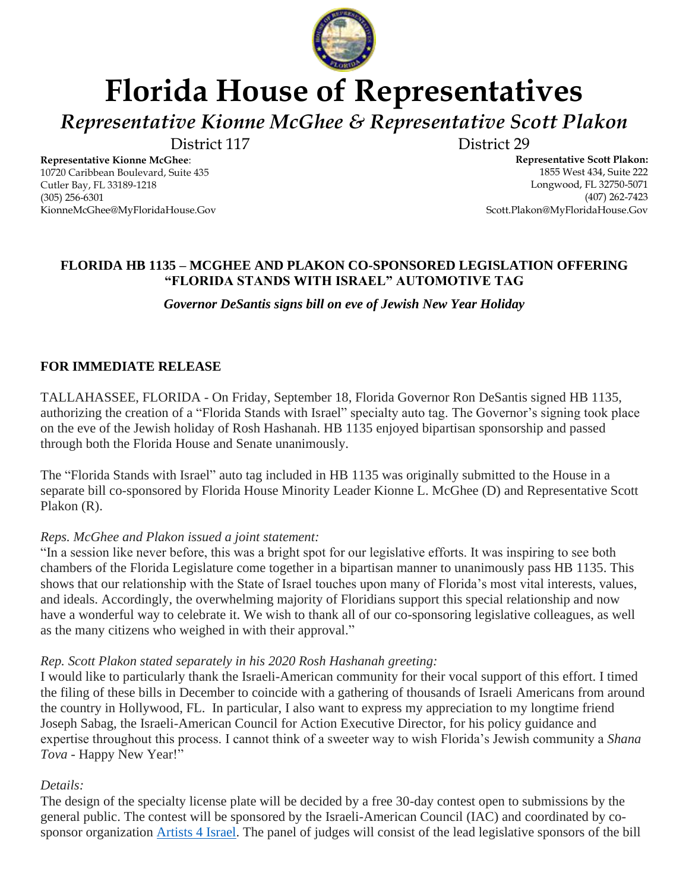

## **Florida House of Representatives**

*Representative Kionne McGhee & Representative Scott Plakon*

District 117 District 29

**Representative Kionne McGhee**: 10720 Caribbean Boulevard, Suite 435 Cutler Bay, FL 33189-1218 (305) 256-6301 KionneMcGhee@MyFloridaHouse.Gov

**Representative Scott Plakon:** 1855 West 434, Suite 222 Longwood, FL 32750-5071 (407) 262-7423 Scott.Plakon@MyFloridaHouse.Gov

#### **FLORIDA HB 1135 – MCGHEE AND PLAKON CO-SPONSORED LEGISLATION OFFERING "FLORIDA STANDS WITH ISRAEL" AUTOMOTIVE TAG**

*Governor DeSantis signs bill on eve of Jewish New Year Holiday*

### **FOR IMMEDIATE RELEASE**

TALLAHASSEE, FLORIDA - On Friday, September 18, Florida Governor Ron DeSantis signed HB 1135, authorizing the creation of a "Florida Stands with Israel" specialty auto tag. The Governor's signing took place on the eve of the Jewish holiday of Rosh Hashanah. HB 1135 enjoyed bipartisan sponsorship and passed through both the Florida House and Senate unanimously.

The "Florida Stands with Israel" auto tag included in HB 1135 was originally submitted to the House in a separate bill co-sponsored by Florida House Minority Leader Kionne L. McGhee (D) and Representative Scott Plakon (R).

#### *Reps. McGhee and Plakon issued a joint statement:*

"In a session like never before, this was a bright spot for our legislative efforts. It was inspiring to see both chambers of the Florida Legislature come together in a bipartisan manner to unanimously pass HB 1135. This shows that our relationship with the State of Israel touches upon many of Florida's most vital interests, values, and ideals. Accordingly, the overwhelming majority of Floridians support this special relationship and now have a wonderful way to celebrate it. We wish to thank all of our co-sponsoring legislative colleagues, as well as the many citizens who weighed in with their approval."

#### *Rep. Scott Plakon stated separately in his 2020 Rosh Hashanah greeting:*

I would like to particularly thank the Israeli-American community for their vocal support of this effort. I timed the filing of these bills in December to coincide with a gathering of thousands of Israeli Americans from around the country in Hollywood, FL. In particular, I also want to express my appreciation to my longtime friend Joseph Sabag, the Israeli-American Council for Action Executive Director, for his policy guidance and expertise throughout this process. I cannot think of a sweeter way to wish Florida's Jewish community a *Shana Tova* - Happy New Year!"

#### *Details:*

The design of the specialty license plate will be decided by a free 30-day contest open to submissions by the general public. The contest will be sponsored by the Israeli-American Council (IAC) and coordinated by cosponsor organization [Artists 4 Israel.](https://www.artists4israel.org/) The panel of judges will consist of the lead legislative sponsors of the bill